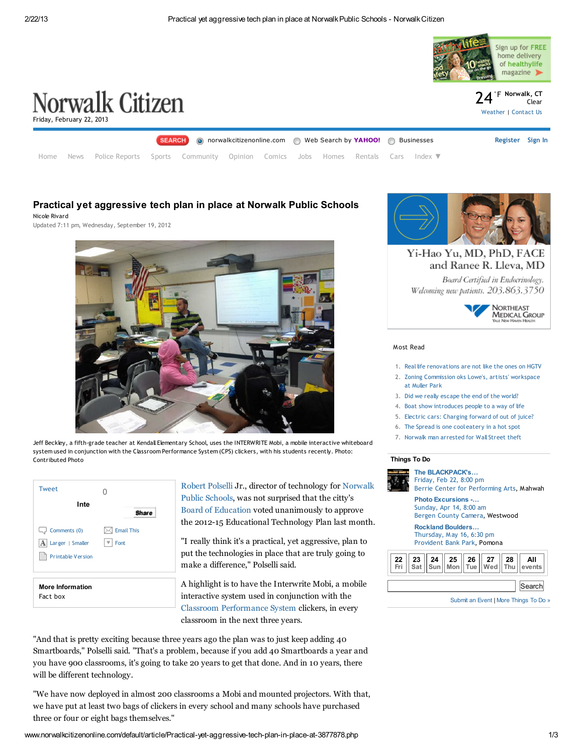

# Practical yet aggressive tech plan in place at Norwalk Public Schools

Nicole Rivard

Updated 7:11 pm, Wednesday, September 19, 2012



Jeff Beckley, a fifth-grade teacher at Kendall Elementary School, uses the INTERWRITE Mobi, a mobile interactive whiteboard system used in conjunction with the Classroom Performance System (CPS) clickers, with his students recently. Photo: Contributed Photo

| <b>Tweet</b>                                                          |                           |
|-----------------------------------------------------------------------|---------------------------|
| Inte                                                                  | <b>Share</b>              |
| $\Box$ Comments (0)<br>A Larger   Smaller<br><b>Printable Version</b> | <b>Email This</b><br>Font |
| <b>More Information</b>                                               |                           |

Fact box

Inte<br> **Share** Board of [Education](http://www.norwalkcitizenonline.com/?controllerName=search&action=search&channel=news&search=1&inlineLink=1&query=%22Board+of+Education%22) voted unanimously to approve [Robert](http://www.norwalkcitizenonline.com/?controllerName=search&action=search&channel=news&search=1&inlineLink=1&query=%22Robert+Polselli%22) Polselli Jr., director of [technology](http://www.norwalkcitizenonline.com/?controllerName=search&action=search&channel=news&search=1&inlineLink=1&query=%22Norwalk+Public+Schools%22) for Norwalk Public Schools, was not surprised that the citty's the 2012-15 Educational Technology Plan last month.

> "I really think it's a practical, yet aggressive, plan to put the technologies in place that are truly going to make a difference," Polselli said.

> A highlight is to have the Interwrite Mobi, a mobile interactive system used in conjunction with the Classroom [Performance](http://www.norwalkcitizenonline.com/?controllerName=search&action=search&channel=news&search=1&inlineLink=1&query=%22Classroom+Performance+System%22) System clickers, in every classroom in the next three years.

"And that is pretty exciting because three years ago the plan was to just keep adding 40 Smartboards," Polselli said. "That's a problem, because if you add 40 Smartboards a year and you have 900 classrooms, it's going to take 20 years to get that done. And in 10 years, there will be different technology.

"We have now deployed in almost 200 classrooms a Mobi and mounted projectors. With that, we have put at least two bags of clickers in every school and many schools have purchased three or four or eight bags themselves."



Yi-Hao Yu, MD, PhD, FACE and Ranee R. Lleva, MD

Board Certified in Endocrinology. Welcoming new patients. 203.863.3750



### [Most](http://www.norwalkcitizenonline.com/default/article/Practical-yet-aggressive-tech-plan-in-place-at-3877878.php#) Read

- 1. Real life [renovations](http://www.norwalkcitizenonline.com/opinion/article/Real-life-renovations-are-not-like-the-ones-on-4010213.php) are not like the ones on HGTV
- 2. Zoning [Commission](http://www.norwalkcitizenonline.com/news/article/Zoning-Commission-oks-Lowe-s-artists-workspace-4297867.php) oks Lowe's, artists' workspace at Muller Park
- 3. Did we really [escape](http://www.norwalkcitizenonline.com/opinion/article/Did-we-really-escape-the-end-of-the-world-4290171.php) the end of the world?
- 4. Boat show [introduces](http://www.norwalkcitizenonline.com/news/article/Boat-show-introduces-people-to-a-way-of-life-3883400.php) people to a way of life
- 5. Electric cars: [Charging](http://www.norwalkcitizenonline.com/news/article/Electric-cars-Charging-forward-of-out-of-juice-4287507.php) forward of out of juice?
- 6. The [Spread](http://www.norwalkcitizenonline.com/news/article/The-Spread-is-one-cool-eatery-in-a-hot-spot-4298071.php) is one cool eatery in a hot spot
- 7. Norwalk man [arrested](http://www.norwalkcitizenonline.com/news/article/Norwalk-man-arrested-for-Wall-Street-theft-4282014.php) for Wall Street theft

## Things To Do



The [BLACKPACK's…](http://events.norwalkcitizen-news.com/mahwah_nj/events/show/310422223-the-blackpacks-sellout-comedy-tour) [Friday,](http://events.norwalkcitizen-news.com/mahwah_nj/events/show/310422223-the-blackpacks-sellout-comedy-tour) Feb 22, 8:00 pm

Berrie Center for [Performing](http://events.norwalkcitizen-news.com/mahwah_nj/venues/show/478872-berrie-center-for-performing-arts) Arts, Mahwah

Photo [Excursions](http://events.norwalkcitizen-news.com/westwood_nj/events/show/309066387-photo-excursions-grounds-for-sculpture) -… [Sunday,](http://events.norwalkcitizen-news.com/westwood_nj/events/show/309066387-photo-excursions-grounds-for-sculpture) Apr 14, 8:00 am Bergen County [Camera](http://events.norwalkcitizen-news.com/westwood_nj/venues/show/799202-bergen-county-camera), Westwood

Rockland [Boulders…](http://events.norwalkcitizen-news.com/pomona_ny/events/show/309072647-rockland-boulders-dugout-photo-shoot-and-fireworks-meetup) [Thursday,](http://events.norwalkcitizen-news.com/pomona_ny/events/show/309072647-rockland-boulders-dugout-photo-shoot-and-fireworks-meetup) May 16, 6:30 pm

[Provident](http://events.norwalkcitizen-news.com/pomona_ny/venues/show/5790305-provident-bank-park) Bank Park, Pomona



[Submit](http://events.norwalkcitizen-news.com/listings) an Event | More [Things](http://events.norwalkcitizen-news.com/) To Do »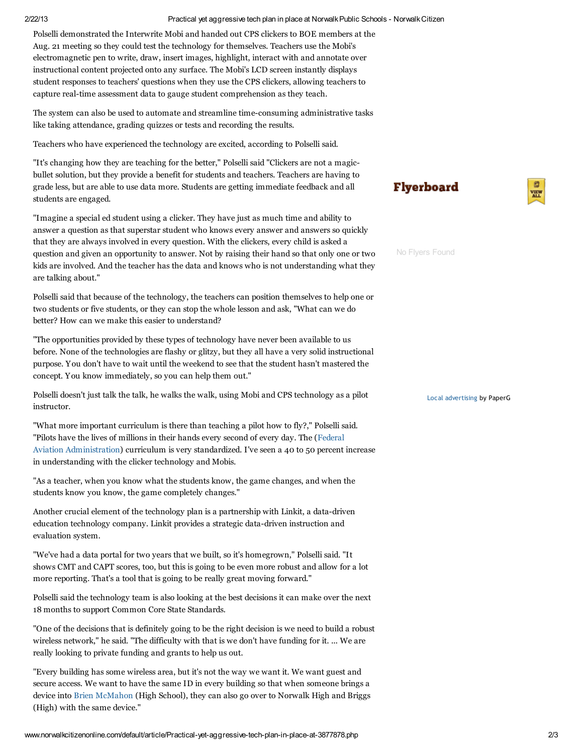### 2/22/13 Practical yet aggressive tech plan in place at NorwalkPublic Schools - NorwalkCitizen

Polselli demonstrated the Interwrite Mobi and handed out CPS clickers to BOE members at the Aug. 21 meeting so they could test the technology for themselves. Teachers use the Mobi's electromagnetic pen to write, draw, insert images, highlight, interact with and annotate over instructional content projected onto any surface. The Mobi's LCD screen instantly displays student responses to teachers' questions when they use the CPS clickers, allowing teachers to capture real-time assessment data to gauge student comprehension as they teach.

The system can also be used to automate and streamline time-consuming administrative tasks like taking attendance, grading quizzes or tests and recording the results.

Teachers who have experienced the technology are excited, according to Polselli said.

"It's changing how they are teaching for the better," Polselli said "Clickers are not a magicbullet solution, but they provide a benefit for students and teachers. Teachers are having to grade less, but are able to use data more. Students are getting immediate feedback and all students are engaged.

"Imagine a special ed student using a clicker. They have just as much time and ability to answer a question as that superstar student who knows every answer and answers so quickly that they are always involved in every question. With the clickers, every child is asked a question and given an opportunity to answer. Not by raising their hand so that only one or two kids are involved. And the teacher has the data and knows who is not understanding what they are talking about."

Polselli said that because of the technology, the teachers can position themselves to help one or two students or five students, or they can stop the whole lesson and ask, "What can we do better? How can we make this easier to understand?

"The opportunities provided by these types of technology have never been available to us before. None of the technologies are flashy or glitzy, but they all have a very solid instructional purpose. You don't have to wait until the weekend to see that the student hasn't mastered the concept. You know immediately, so you can help them out."

Polselli doesn't just talk the talk, he walks the walk, using Mobi and CPS technology as a pilot instructor.

"What more important curriculum is there than teaching a pilot how to fly?," Polselli said. "Pilots have the lives of millions in their hands every second of every day. The (Federal Aviation [Administration\)](http://www.norwalkcitizenonline.com/?controllerName=search&action=search&channel=news&search=1&inlineLink=1&query=%22Federal+Aviation+Administration%22) curriculum is very standardized. I've seen a 40 to 50 percent increase in understanding with the clicker technology and Mobis.

"As a teacher, when you know what the students know, the game changes, and when the students know you know, the game completely changes."

Another crucial element of the technology plan is a partnership with Linkit, a data-driven education technology company. Linkit provides a strategic data-driven instruction and evaluation system.

"We've had a data portal for two years that we built, so it's homegrown," Polselli said. "It shows CMT and CAPT scores, too, but this is going to be even more robust and allow for a lot more reporting. That's a tool that is going to be really great moving forward."

Polselli said the technology team is also looking at the best decisions it can make over the next 18 months to support Common Core State Standards.

"One of the decisions that is definitely going to be the right decision is we need to build a robust wireless network," he said. "The difficulty with that is we don't have funding for it. ... We are really looking to private funding and grants to help us out.

"Every building has some wireless area, but it's not the way we want it. We want guest and secure access. We want to have the same ID in every building so that when someone brings a device into Brien [McMahon](http://www.norwalkcitizenonline.com/?controllerName=search&action=search&channel=news&search=1&inlineLink=1&query=%22Brien+McMahon%22) (High School), they can also go over to Norwalk High and Briggs (High) with the same device."

**Flyerboard** 



No Flyers Found

Local [advertising](http://www.paperg.com/) by PaperG